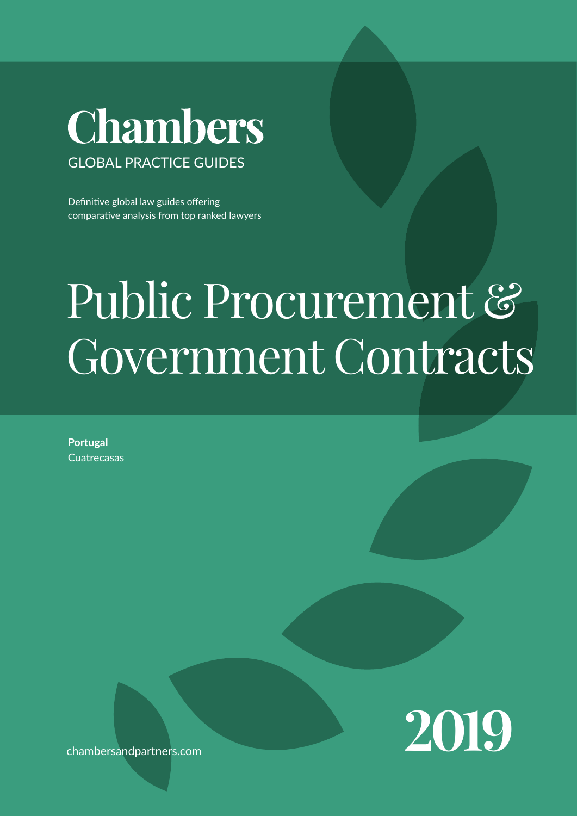## **Chambers** GLOBAL PRACTICE GUIDES

Definitive global law guides offering comparative analysis from top ranked lawyers

# Public Procurement & Government Contracts

**Portugal Cuatrecasas** 



chambersandpartners.com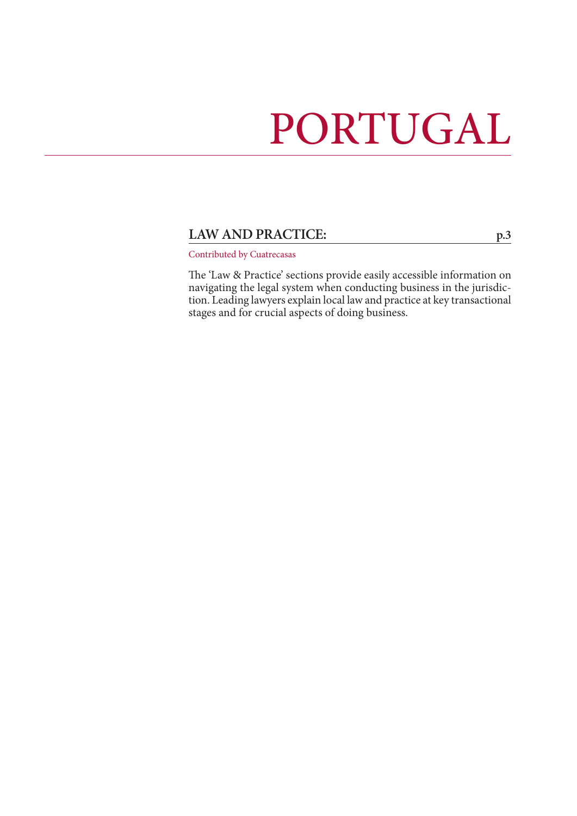## PORTUGAL

## LAW AND PRACTICE: [p.3](#page-2-0)

Contributed by Cuatrecasas

The 'Law & Practice' sections provide easily accessible information on navigating the legal system when conducting business in the jurisdiction. Leading lawyers explain local law and practice at key transactional stages and for crucial aspects of doing business.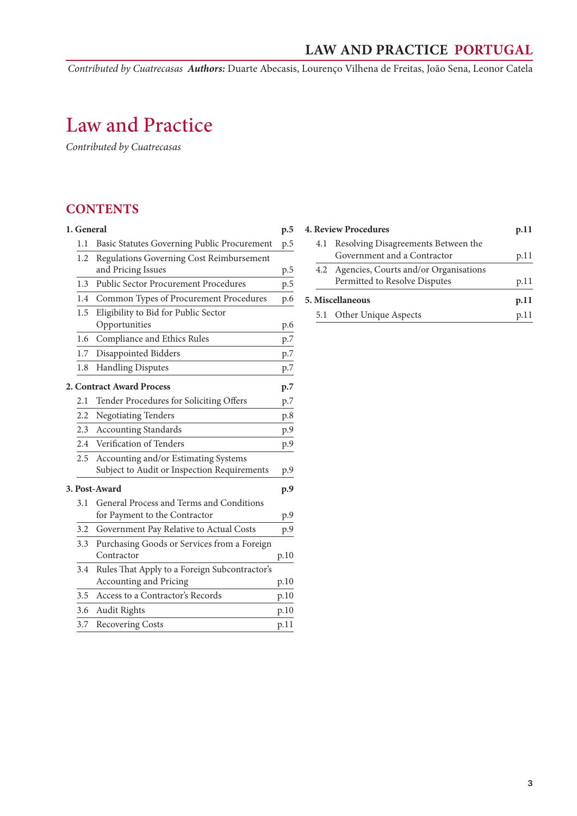*Contributed by Cuatrecasas Authors:* Duarte Abecasis, Lourenço Vilhena de Freitas, João Sena, Leonor Catela

## <span id="page-2-0"></span>Law and Practice

*Contributed by Cuatrecasas*

## **CONTENTS**

| 1. General    |                                               | p.5  |
|---------------|-----------------------------------------------|------|
| 1.1           | Basic Statutes Governing Public Procurement   | p.5  |
| 1.2           | Regulations Governing Cost Reimbursement      |      |
|               | and Pricing Issues                            | p.5  |
| 1.3           | <b>Public Sector Procurement Procedures</b>   | p.5  |
| 1.4           | Common Types of Procurement Procedures        | p.6  |
| 1.5           | Eligibility to Bid for Public Sector          |      |
|               | Opportunities                                 | p.6  |
| 1.6           | Compliance and Ethics Rules                   | p.7  |
| 1.7           | Disappointed Bidders                          | p.7  |
| 1.8           | <b>Handling Disputes</b>                      | p.7  |
|               | 2. Contract Award Process                     | p.7  |
| 2.1           | Tender Procedures for Soliciting Offers       | p.7  |
| 2.2           | <b>Negotiating Tenders</b>                    | p.8  |
| 2.3           | <b>Accounting Standards</b>                   | p.9  |
| 2.4           | Verification of Tenders                       | p.9  |
| 2.5           | Accounting and/or Estimating Systems          |      |
|               | Subject to Audit or Inspection Requirements   | p.9  |
| 3. Post-Award |                                               | p.9  |
| 3.1           | General Process and Terms and Conditions      |      |
|               | for Payment to the Contractor                 | p.9  |
| 3.2           | Government Pay Relative to Actual Costs       | p.9  |
| 3.3           | Purchasing Goods or Services from a Foreign   |      |
|               | Contractor                                    | p.10 |
| 3.4           | Rules That Apply to a Foreign Subcontractor's |      |
|               | Accounting and Pricing                        | p.10 |
| 3.5           | Access to a Contractor's Records              | p.10 |
| 3.6           | <b>Audit Rights</b>                           | p.10 |
| 3.7           | <b>Recovering Costs</b>                       | p.11 |

| <b>4. Review Procedures</b> |                                                                            | p.11 |
|-----------------------------|----------------------------------------------------------------------------|------|
|                             | 4.1 Resolving Disagreements Between the<br>Government and a Contractor     | p.11 |
|                             | 4.2 Agencies, Courts and/or Organisations<br>Permitted to Resolve Disputes | p.11 |
| 5. Miscellaneous            |                                                                            | p.11 |
|                             | 5.1 Other Unique Aspects                                                   | p.11 |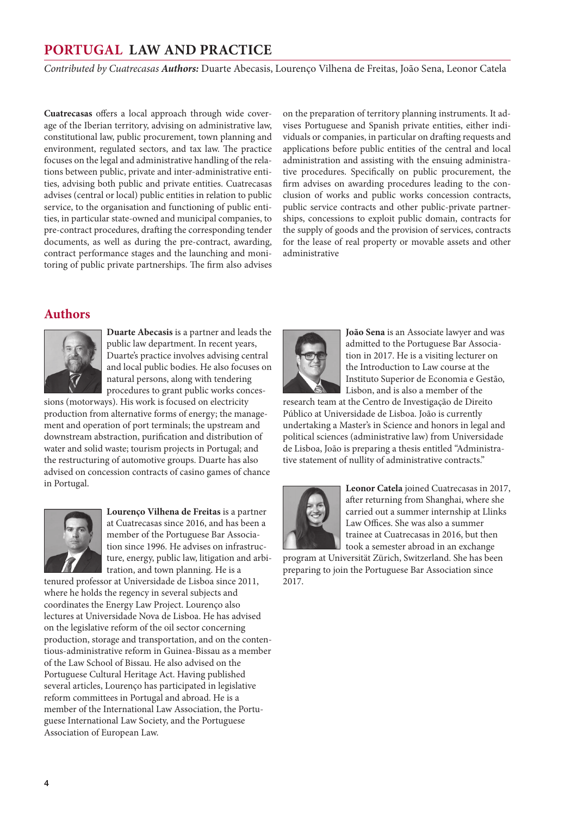*Contributed by Cuatrecasas Authors:* Duarte Abecasis, Lourenço Vilhena de Freitas, João Sena, Leonor Catela

**Cuatrecasas** offers a local approach through wide coverage of the Iberian territory, advising on administrative law, constitutional law, public procurement, town planning and environment, regulated sectors, and tax law. The practice focuses on the legal and administrative handling of the relations between public, private and inter-administrative entities, advising both public and private entities. Cuatrecasas advises (central or local) public entities in relation to public service, to the organisation and functioning of public entities, in particular state-owned and municipal companies, to pre-contract procedures, drafting the corresponding tender documents, as well as during the pre-contract, awarding, contract performance stages and the launching and monitoring of public private partnerships. The firm also advises on the preparation of territory planning instruments. It advises Portuguese and Spanish private entities, either individuals or companies, in particular on drafting requests and applications before public entities of the central and local administration and assisting with the ensuing administrative procedures. Specifically on public procurement, the firm advises on awarding procedures leading to the conclusion of works and public works concession contracts, public service contracts and other public-private partnerships, concessions to exploit public domain, contracts for the supply of goods and the provision of services, contracts for the lease of real property or movable assets and other administrative

## **Authors**



**Duarte Abecasis** is a partner and leads the public law department. In recent years, Duarte's practice involves advising central and local public bodies. He also focuses on natural persons, along with tendering procedures to grant public works conces-

sions (motorways). His work is focused on electricity production from alternative forms of energy; the management and operation of port terminals; the upstream and downstream abstraction, purification and distribution of water and solid waste; tourism projects in Portugal; and the restructuring of automotive groups. Duarte has also advised on concession contracts of casino games of chance in Portugal.



**Lourenço Vilhena de Freitas** is a partner at Cuatrecasas since 2016, and has been a member of the Portuguese Bar Association since 1996. He advises on infrastructure, energy, public law, litigation and arbitration, and town planning. He is a

tenured professor at Universidade de Lisboa since 2011, where he holds the regency in several subjects and coordinates the Energy Law Project. Lourenço also lectures at Universidade Nova de Lisboa. He has advised on the legislative reform of the oil sector concerning production, storage and transportation, and on the contentious-administrative reform in Guinea-Bissau as a member of the Law School of Bissau. He also advised on the Portuguese Cultural Heritage Act. Having published several articles, Lourenço has participated in legislative reform committees in Portugal and abroad. He is a member of the International Law Association, the Portuguese International Law Society, and the Portuguese Association of European Law.



**João Sena** is an Associate lawyer and was admitted to the Portuguese Bar Association in 2017. He is a visiting lecturer on the Introduction to Law course at the Instituto Superior de Economia e Gestão, Lisbon, and is also a member of the

research team at the Centro de Investigação de Direito Público at Universidade de Lisboa. João is currently undertaking a Master's in Science and honors in legal and political sciences (administrative law) from Universidade de Lisboa, João is preparing a thesis entitled "Administrative statement of nullity of administrative contracts."



**Leonor Catela** joined Cuatrecasas in 2017, after returning from Shanghai, where she carried out a summer internship at Llinks Law Offices. She was also a summer trainee at Cuatrecasas in 2016, but then took a semester abroad in an exchange

program at Universität Zürich, Switzerland. She has been preparing to join the Portuguese Bar Association since 2017.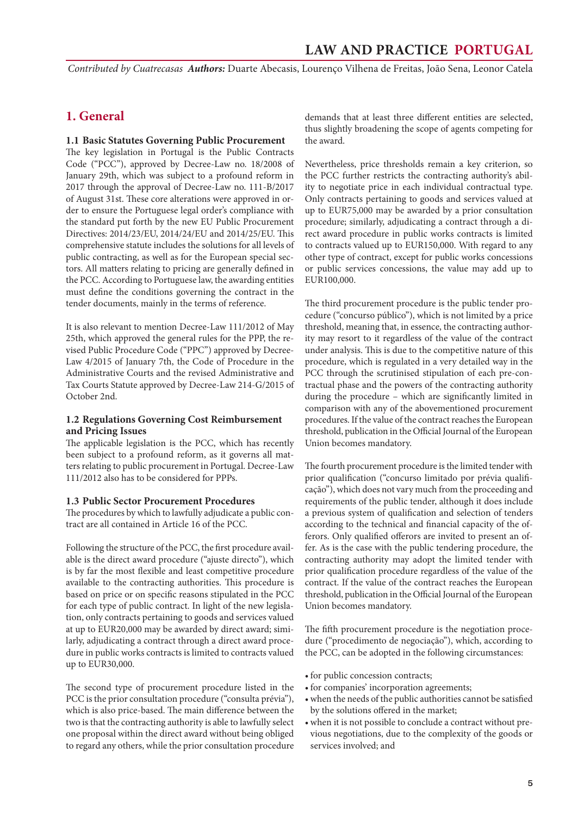<span id="page-4-0"></span>*Contributed by Cuatrecasas Authors:* Duarte Abecasis, Lourenço Vilhena de Freitas, João Sena, Leonor Catela

### **1. General**

#### **1.1 Basic Statutes Governing Public Procurement**

The key legislation in Portugal is the Public Contracts Code ("PCC"), approved by Decree-Law no. 18/2008 of January 29th, which was subject to a profound reform in 2017 through the approval of Decree-Law no. 111-B/2017 of August 31st. These core alterations were approved in order to ensure the Portuguese legal order's compliance with the standard put forth by the new EU Public Procurement Directives: 2014/23/EU, 2014/24/EU and 2014/25/EU. This comprehensive statute includes the solutions for all levels of public contracting, as well as for the European special sectors. All matters relating to pricing are generally defined in the PCC. According to Portuguese law, the awarding entities must define the conditions governing the contract in the tender documents, mainly in the terms of reference.

It is also relevant to mention Decree-Law 111/2012 of May 25th, which approved the general rules for the PPP, the revised Public Procedure Code ("PPC") approved by Decree-Law 4/2015 of January 7th, the Code of Procedure in the Administrative Courts and the revised Administrative and Tax Courts Statute approved by Decree-Law 214-G/2015 of October 2nd.

#### **1.2 Regulations Governing Cost Reimbursement and Pricing Issues**

The applicable legislation is the PCC, which has recently been subject to a profound reform, as it governs all matters relating to public procurement in Portugal. Decree-Law 111/2012 also has to be considered for PPPs.

#### **1.3 Public Sector Procurement Procedures**

The procedures by which to lawfully adjudicate a public contract are all contained in Article 16 of the PCC.

Following the structure of the PCC, the first procedure available is the direct award procedure ("ajuste directo"), which is by far the most flexible and least competitive procedure available to the contracting authorities. This procedure is based on price or on specific reasons stipulated in the PCC for each type of public contract. In light of the new legislation, only contracts pertaining to goods and services valued at up to EUR20,000 may be awarded by direct award; similarly, adjudicating a contract through a direct award procedure in public works contracts is limited to contracts valued up to EUR30,000.

The second type of procurement procedure listed in the PCC is the prior consultation procedure ("consulta prévia"), which is also price-based. The main difference between the two is that the contracting authority is able to lawfully select one proposal within the direct award without being obliged to regard any others, while the prior consultation procedure demands that at least three different entities are selected, thus slightly broadening the scope of agents competing for the award.

Nevertheless, price thresholds remain a key criterion, so the PCC further restricts the contracting authority's ability to negotiate price in each individual contractual type. Only contracts pertaining to goods and services valued at up to EUR75,000 may be awarded by a prior consultation procedure; similarly, adjudicating a contract through a direct award procedure in public works contracts is limited to contracts valued up to EUR150,000. With regard to any other type of contract, except for public works concessions or public services concessions, the value may add up to EUR100,000.

The third procurement procedure is the public tender procedure ("concurso público"), which is not limited by a price threshold, meaning that, in essence, the contracting authority may resort to it regardless of the value of the contract under analysis. This is due to the competitive nature of this procedure, which is regulated in a very detailed way in the PCC through the scrutinised stipulation of each pre-contractual phase and the powers of the contracting authority during the procedure – which are significantly limited in comparison with any of the abovementioned procurement procedures. If the value of the contract reaches the European threshold, publication in the Official Journal of the European Union becomes mandatory.

The fourth procurement procedure is the limited tender with prior qualification ("concurso limitado por prévia qualificação"), which does not vary much from the proceeding and requirements of the public tender, although it does include a previous system of qualification and selection of tenders according to the technical and financial capacity of the offerors. Only qualified offerors are invited to present an offer. As is the case with the public tendering procedure, the contracting authority may adopt the limited tender with prior qualification procedure regardless of the value of the contract. If the value of the contract reaches the European threshold, publication in the Official Journal of the European Union becomes mandatory.

The fifth procurement procedure is the negotiation procedure ("procedimento de negociação"), which, according to the PCC, can be adopted in the following circumstances:

- for public concession contracts;
- for companies' incorporation agreements;
- • when the needs of the public authorities cannot be satisfied by the solutions offered in the market;
- • when it is not possible to conclude a contract without previous negotiations, due to the complexity of the goods or services involved; and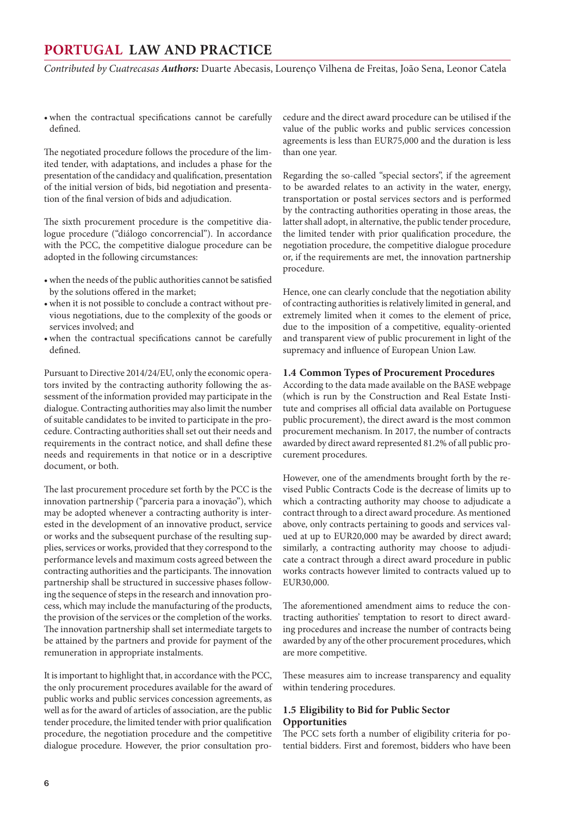<span id="page-5-0"></span>*Contributed by Cuatrecasas Authors:* Duarte Abecasis, Lourenço Vilhena de Freitas, João Sena, Leonor Catela

• when the contractual specifications cannot be carefully defined.

The negotiated procedure follows the procedure of the limited tender, with adaptations, and includes a phase for the presentation of the candidacy and qualification, presentation of the initial version of bids, bid negotiation and presentation of the final version of bids and adjudication.

The sixth procurement procedure is the competitive dialogue procedure ("diálogo concorrencial"). In accordance with the PCC, the competitive dialogue procedure can be adopted in the following circumstances:

- • when the needs of the public authorities cannot be satisfied by the solutions offered in the market;
- when it is not possible to conclude a contract without previous negotiations, due to the complexity of the goods or services involved; and
- when the contractual specifications cannot be carefully defined.

Pursuant to Directive 2014/24/EU, only the economic operators invited by the contracting authority following the assessment of the information provided may participate in the dialogue. Contracting authorities may also limit the number of suitable candidates to be invited to participate in the procedure. Contracting authorities shall set out their needs and requirements in the contract notice, and shall define these needs and requirements in that notice or in a descriptive document, or both.

The last procurement procedure set forth by the PCC is the innovation partnership ("parceria para a inovação"), which may be adopted whenever a contracting authority is interested in the development of an innovative product, service or works and the subsequent purchase of the resulting supplies, services or works, provided that they correspond to the performance levels and maximum costs agreed between the contracting authorities and the participants. The innovation partnership shall be structured in successive phases following the sequence of steps in the research and innovation process, which may include the manufacturing of the products, the provision of the services or the completion of the works. The innovation partnership shall set intermediate targets to be attained by the partners and provide for payment of the remuneration in appropriate instalments.

It is important to highlight that, in accordance with the PCC, the only procurement procedures available for the award of public works and public services concession agreements, as well as for the award of articles of association, are the public tender procedure, the limited tender with prior qualification procedure, the negotiation procedure and the competitive dialogue procedure. However, the prior consultation procedure and the direct award procedure can be utilised if the value of the public works and public services concession agreements is less than EUR75,000 and the duration is less than one year.

Regarding the so-called "special sectors", if the agreement to be awarded relates to an activity in the water, energy, transportation or postal services sectors and is performed by the contracting authorities operating in those areas, the latter shall adopt, in alternative, the public tender procedure, the limited tender with prior qualification procedure, the negotiation procedure, the competitive dialogue procedure or, if the requirements are met, the innovation partnership procedure.

Hence, one can clearly conclude that the negotiation ability of contracting authorities is relatively limited in general, and extremely limited when it comes to the element of price, due to the imposition of a competitive, equality-oriented and transparent view of public procurement in light of the supremacy and influence of European Union Law.

#### **1.4 Common Types of Procurement Procedures**

According to the data made available on the BASE webpage (which is run by the Construction and Real Estate Institute and comprises all official data available on Portuguese public procurement), the direct award is the most common procurement mechanism. In 2017, the number of contracts awarded by direct award represented 81.2% of all public procurement procedures.

However, one of the amendments brought forth by the revised Public Contracts Code is the decrease of limits up to which a contracting authority may choose to adjudicate a contract through to a direct award procedure. As mentioned above, only contracts pertaining to goods and services valued at up to EUR20,000 may be awarded by direct award; similarly, a contracting authority may choose to adjudicate a contract through a direct award procedure in public works contracts however limited to contracts valued up to EUR30,000.

The aforementioned amendment aims to reduce the contracting authorities' temptation to resort to direct awarding procedures and increase the number of contracts being awarded by any of the other procurement procedures, which are more competitive.

These measures aim to increase transparency and equality within tendering procedures.

#### **1.5 Eligibility to Bid for Public Sector Opportunities**

The PCC sets forth a number of eligibility criteria for potential bidders. First and foremost, bidders who have been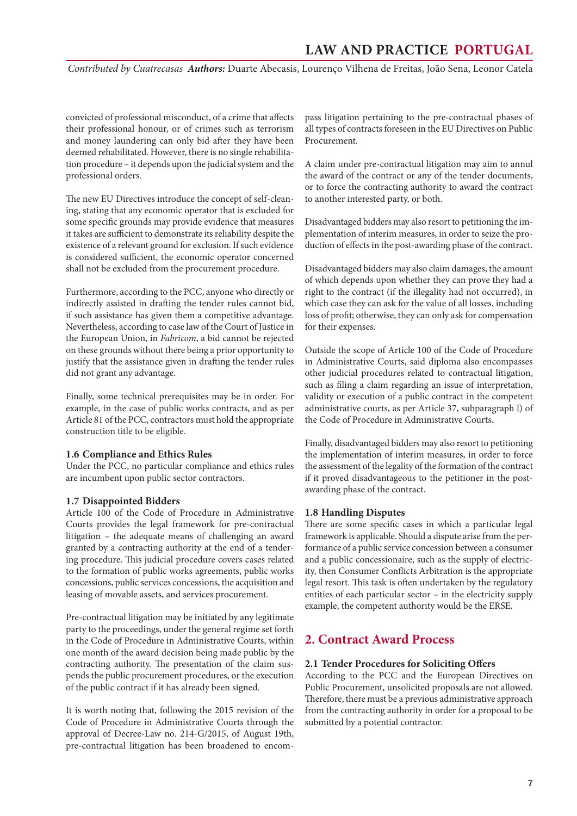<span id="page-6-0"></span>*Contributed by Cuatrecasas Authors:* Duarte Abecasis, Lourenço Vilhena de Freitas, João Sena, Leonor Catela

convicted of professional misconduct, of a crime that affects their professional honour, or of crimes such as terrorism and money laundering can only bid after they have been deemed rehabilitated. However, there is no single rehabilitation procedure – it depends upon the judicial system and the professional orders.

The new EU Directives introduce the concept of self-cleaning, stating that any economic operator that is excluded for some specific grounds may provide evidence that measures it takes are sufficient to demonstrate its reliability despite the existence of a relevant ground for exclusion. If such evidence is considered sufficient, the economic operator concerned shall not be excluded from the procurement procedure.

Furthermore, according to the PCC, anyone who directly or indirectly assisted in drafting the tender rules cannot bid, if such assistance has given them a competitive advantage. Nevertheless, according to case law of the Court of Justice in the European Union, in *Fabricom*, a bid cannot be rejected on these grounds without there being a prior opportunity to justify that the assistance given in drafting the tender rules did not grant any advantage.

Finally, some technical prerequisites may be in order. For example, in the case of public works contracts, and as per Article 81 of the PCC, contractors must hold the appropriate construction title to be eligible.

#### **1.6 Compliance and Ethics Rules**

Under the PCC, no particular compliance and ethics rules are incumbent upon public sector contractors.

#### **1.7 Disappointed Bidders**

Article 100 of the Code of Procedure in Administrative Courts provides the legal framework for pre-contractual litigation – the adequate means of challenging an award granted by a contracting authority at the end of a tendering procedure. This judicial procedure covers cases related to the formation of public works agreements, public works concessions, public services concessions, the acquisition and leasing of movable assets, and services procurement.

Pre-contractual litigation may be initiated by any legitimate party to the proceedings, under the general regime set forth in the Code of Procedure in Administrative Courts, within one month of the award decision being made public by the contracting authority. The presentation of the claim suspends the public procurement procedures, or the execution of the public contract if it has already been signed.

It is worth noting that, following the 2015 revision of the Code of Procedure in Administrative Courts through the approval of Decree-Law no. 214-G/2015, of August 19th, pre-contractual litigation has been broadened to encompass litigation pertaining to the pre-contractual phases of all types of contracts foreseen in the EU Directives on Public Procurement.

A claim under pre-contractual litigation may aim to annul the award of the contract or any of the tender documents, or to force the contracting authority to award the contract to another interested party, or both.

Disadvantaged bidders may also resort to petitioning the implementation of interim measures, in order to seize the production of effects in the post-awarding phase of the contract.

Disadvantaged bidders may also claim damages, the amount of which depends upon whether they can prove they had a right to the contract (if the illegality had not occurred), in which case they can ask for the value of all losses, including loss of profit; otherwise, they can only ask for compensation for their expenses.

Outside the scope of Article 100 of the Code of Procedure in Administrative Courts, said diploma also encompasses other judicial procedures related to contractual litigation, such as filing a claim regarding an issue of interpretation, validity or execution of a public contract in the competent administrative courts, as per Article 37, subparagraph l) of the Code of Procedure in Administrative Courts.

Finally, disadvantaged bidders may also resort to petitioning the implementation of interim measures, in order to force the assessment of the legality of the formation of the contract if it proved disadvantageous to the petitioner in the postawarding phase of the contract.

#### **1.8 Handling Disputes**

There are some specific cases in which a particular legal framework is applicable. Should a dispute arise from the performance of a public service concession between a consumer and a public concessionaire, such as the supply of electricity, then Consumer Conflicts Arbitration is the appropriate legal resort. This task is often undertaken by the regulatory entities of each particular sector – in the electricity supply example, the competent authority would be the ERSE.

## **2. Contract Award Process**

#### **2.1 Tender Procedures for Soliciting Offers**

According to the PCC and the European Directives on Public Procurement, unsolicited proposals are not allowed. Therefore, there must be a previous administrative approach from the contracting authority in order for a proposal to be submitted by a potential contractor.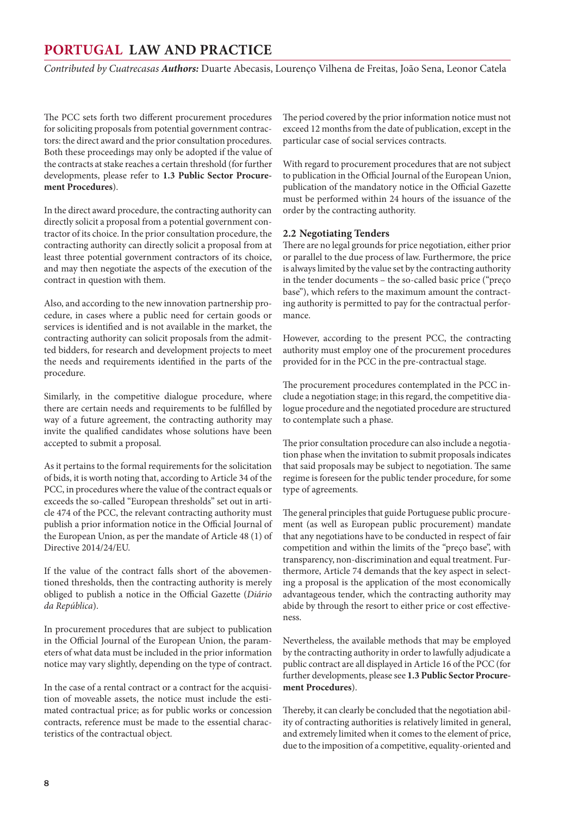<span id="page-7-0"></span>*Contributed by Cuatrecasas Authors:* Duarte Abecasis, Lourenço Vilhena de Freitas, João Sena, Leonor Catela

The PCC sets forth two different procurement procedures for soliciting proposals from potential government contractors: the direct award and the prior consultation procedures. Both these proceedings may only be adopted if the value of the contracts at stake reaches a certain threshold (for further developments, please refer to **1.3 Public Sector Procurement Procedures**).

In the direct award procedure, the contracting authority can directly solicit a proposal from a potential government contractor of its choice. In the prior consultation procedure, the contracting authority can directly solicit a proposal from at least three potential government contractors of its choice, and may then negotiate the aspects of the execution of the contract in question with them.

Also, and according to the new innovation partnership procedure, in cases where a public need for certain goods or services is identified and is not available in the market, the contracting authority can solicit proposals from the admitted bidders, for research and development projects to meet the needs and requirements identified in the parts of the procedure.

Similarly, in the competitive dialogue procedure, where there are certain needs and requirements to be fulfilled by way of a future agreement, the contracting authority may invite the qualified candidates whose solutions have been accepted to submit a proposal.

As it pertains to the formal requirements for the solicitation of bids, it is worth noting that, according to Article 34 of the PCC, in procedures where the value of the contract equals or exceeds the so-called "European thresholds" set out in article 474 of the PCC, the relevant contracting authority must publish a prior information notice in the Official Journal of the European Union, as per the mandate of Article 48 (1) of Directive 2014/24/EU.

If the value of the contract falls short of the abovementioned thresholds, then the contracting authority is merely obliged to publish a notice in the Official Gazette (*Diário da República*).

In procurement procedures that are subject to publication in the Official Journal of the European Union, the parameters of what data must be included in the prior information notice may vary slightly, depending on the type of contract.

In the case of a rental contract or a contract for the acquisition of moveable assets, the notice must include the estimated contractual price; as for public works or concession contracts, reference must be made to the essential characteristics of the contractual object.

The period covered by the prior information notice must not exceed 12 months from the date of publication, except in the particular case of social services contracts.

With regard to procurement procedures that are not subject to publication in the Official Journal of the European Union, publication of the mandatory notice in the Official Gazette must be performed within 24 hours of the issuance of the order by the contracting authority.

#### **2.2 Negotiating Tenders**

There are no legal grounds for price negotiation, either prior or parallel to the due process of law. Furthermore, the price is always limited by the value set by the contracting authority in the tender documents – the so-called basic price ("preço base"), which refers to the maximum amount the contracting authority is permitted to pay for the contractual performance.

However, according to the present PCC, the contracting authority must employ one of the procurement procedures provided for in the PCC in the pre-contractual stage.

The procurement procedures contemplated in the PCC include a negotiation stage; in this regard, the competitive dialogue procedure and the negotiated procedure are structured to contemplate such a phase.

The prior consultation procedure can also include a negotiation phase when the invitation to submit proposals indicates that said proposals may be subject to negotiation. The same regime is foreseen for the public tender procedure, for some type of agreements.

The general principles that guide Portuguese public procurement (as well as European public procurement) mandate that any negotiations have to be conducted in respect of fair competition and within the limits of the "preço base", with transparency, non-discrimination and equal treatment. Furthermore, Article 74 demands that the key aspect in selecting a proposal is the application of the most economically advantageous tender, which the contracting authority may abide by through the resort to either price or cost effectiveness.

Nevertheless, the available methods that may be employed by the contracting authority in order to lawfully adjudicate a public contract are all displayed in Article 16 of the PCC (for further developments, please see **1.3 Public Sector Procurement Procedures**).

Thereby, it can clearly be concluded that the negotiation ability of contracting authorities is relatively limited in general, and extremely limited when it comes to the element of price, due to the imposition of a competitive, equality-oriented and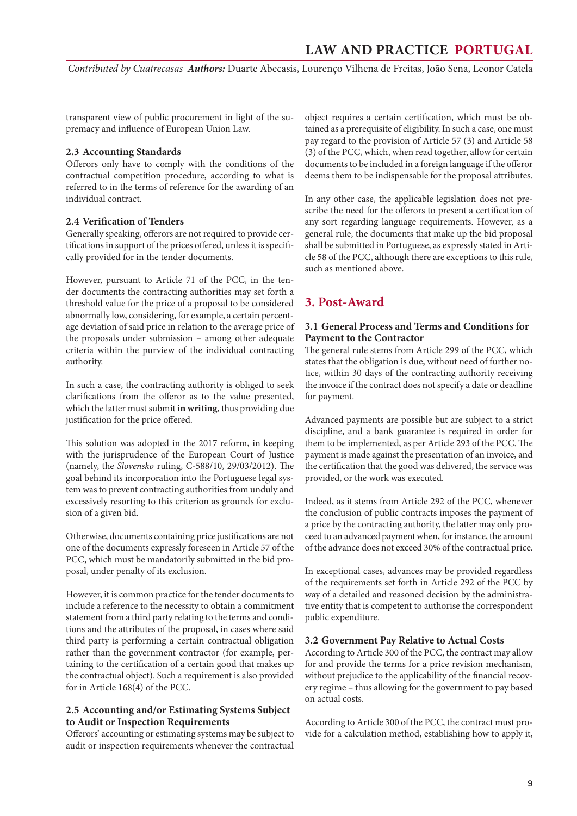<span id="page-8-0"></span>*Contributed by Cuatrecasas Authors:* Duarte Abecasis, Lourenço Vilhena de Freitas, João Sena, Leonor Catela

transparent view of public procurement in light of the supremacy and influence of European Union Law.

#### **2.3 Accounting Standards**

Offerors only have to comply with the conditions of the contractual competition procedure, according to what is referred to in the terms of reference for the awarding of an individual contract.

#### **2.4 Verification of Tenders**

Generally speaking, offerors are not required to provide certifications in support of the prices offered, unless it is specifically provided for in the tender documents.

However, pursuant to Article 71 of the PCC, in the tender documents the contracting authorities may set forth a threshold value for the price of a proposal to be considered abnormally low, considering, for example, a certain percentage deviation of said price in relation to the average price of the proposals under submission – among other adequate criteria within the purview of the individual contracting authority.

In such a case, the contracting authority is obliged to seek clarifications from the offeror as to the value presented, which the latter must submit **in writing**, thus providing due justification for the price offered.

This solution was adopted in the 2017 reform, in keeping with the jurisprudence of the European Court of Justice (namely, the *Slovensko* ruling, C-588/10, 29/03/2012). The goal behind its incorporation into the Portuguese legal system was to prevent contracting authorities from unduly and excessively resorting to this criterion as grounds for exclusion of a given bid.

Otherwise, documents containing price justifications are not one of the documents expressly foreseen in Article 57 of the PCC, which must be mandatorily submitted in the bid proposal, under penalty of its exclusion.

However, it is common practice for the tender documents to include a reference to the necessity to obtain a commitment statement from a third party relating to the terms and conditions and the attributes of the proposal, in cases where said third party is performing a certain contractual obligation rather than the government contractor (for example, pertaining to the certification of a certain good that makes up the contractual object). Such a requirement is also provided for in Article 168(4) of the PCC.

#### **2.5 Accounting and/or Estimating Systems Subject to Audit or Inspection Requirements**

Offerors' accounting or estimating systems may be subject to audit or inspection requirements whenever the contractual object requires a certain certification, which must be obtained as a prerequisite of eligibility. In such a case, one must pay regard to the provision of Article 57 (3) and Article 58 (3) of the PCC, which, when read together, allow for certain documents to be included in a foreign language if the offeror deems them to be indispensable for the proposal attributes.

In any other case, the applicable legislation does not prescribe the need for the offerors to present a certification of any sort regarding language requirements. However, as a general rule, the documents that make up the bid proposal shall be submitted in Portuguese, as expressly stated in Article 58 of the PCC, although there are exceptions to this rule, such as mentioned above.

## **3. Post-Award**

#### **3.1 General Process and Terms and Conditions for Payment to the Contractor**

The general rule stems from Article 299 of the PCC, which states that the obligation is due, without need of further notice, within 30 days of the contracting authority receiving the invoice if the contract does not specify a date or deadline for payment.

Advanced payments are possible but are subject to a strict discipline, and a bank guarantee is required in order for them to be implemented, as per Article 293 of the PCC. The payment is made against the presentation of an invoice, and the certification that the good was delivered, the service was provided, or the work was executed.

Indeed, as it stems from Article 292 of the PCC, whenever the conclusion of public contracts imposes the payment of a price by the contracting authority, the latter may only proceed to an advanced payment when, for instance, the amount of the advance does not exceed 30% of the contractual price.

In exceptional cases, advances may be provided regardless of the requirements set forth in Article 292 of the PCC by way of a detailed and reasoned decision by the administrative entity that is competent to authorise the correspondent public expenditure.

#### **3.2 Government Pay Relative to Actual Costs**

According to Article 300 of the PCC, the contract may allow for and provide the terms for a price revision mechanism, without prejudice to the applicability of the financial recovery regime – thus allowing for the government to pay based on actual costs.

According to Article 300 of the PCC, the contract must provide for a calculation method, establishing how to apply it,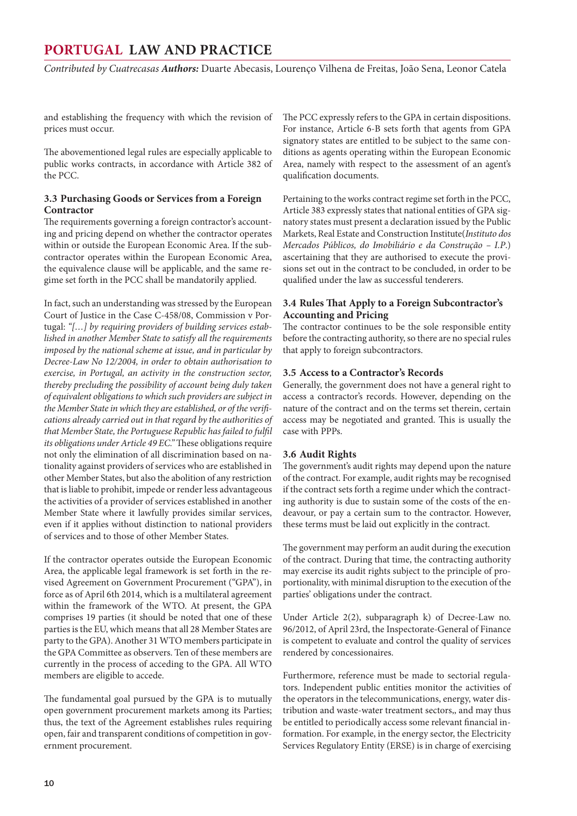<span id="page-9-0"></span>*Contributed by Cuatrecasas Authors:* Duarte Abecasis, Lourenço Vilhena de Freitas, João Sena, Leonor Catela

and establishing the frequency with which the revision of prices must occur.

The abovementioned legal rules are especially applicable to public works contracts, in accordance with Article 382 of the PCC.

#### **3.3 Purchasing Goods or Services from a Foreign Contractor**

The requirements governing a foreign contractor's accounting and pricing depend on whether the contractor operates within or outside the European Economic Area. If the subcontractor operates within the European Economic Area, the equivalence clause will be applicable, and the same regime set forth in the PCC shall be mandatorily applied.

In fact, such an understanding was stressed by the European Court of Justice in the Case C-458/08, Commission v Portugal: *"[…] by requiring providers of building services established in another Member State to satisfy all the requirements imposed by the national scheme at issue, and in particular by Decree-Law No 12/2004, in order to obtain authorisation to exercise, in Portugal, an activity in the construction sector, thereby precluding the possibility of account being duly taken of equivalent obligations to which such providers are subject in the Member State in which they are established, or of the verifications already carried out in that regard by the authorities of that Member State, the Portuguese Republic has failed to fulfil its obligations under Article 49 EC."* These obligations require not only the elimination of all discrimination based on nationality against providers of services who are established in other Member States, but also the abolition of any restriction that is liable to prohibit, impede or render less advantageous the activities of a provider of services established in another Member State where it lawfully provides similar services, even if it applies without distinction to national providers of services and to those of other Member States.

If the contractor operates outside the European Economic Area, the applicable legal framework is set forth in the revised Agreement on Government Procurement ("GPA"), in force as of April 6th 2014, which is a multilateral agreement within the framework of the WTO. At present, the GPA comprises 19 parties (it should be noted that one of these parties is the EU, which means that all 28 Member States are party to the GPA). Another 31 WTO members participate in the GPA Committee as observers. Ten of these members are currently in the process of acceding to the GPA. All WTO members are eligible to accede.

The fundamental goal pursued by the GPA is to mutually open government procurement markets among its Parties; thus, the text of the Agreement establishes rules requiring open, fair and transparent conditions of competition in government procurement.

The PCC expressly refers to the GPA in certain dispositions. For instance, Article 6-B sets forth that agents from GPA signatory states are entitled to be subject to the same conditions as agents operating within the European Economic Area, namely with respect to the assessment of an agent's qualification documents.

Pertaining to the works contract regime set forth in the PCC, Article 383 expressly states that national entities of GPA signatory states must present a declaration issued by the Public Markets, Real Estate and Construction Institute(*Instituto dos Mercados Públicos, do Imobiliário e da Construção – I.P*.) ascertaining that they are authorised to execute the provisions set out in the contract to be concluded, in order to be qualified under the law as successful tenderers.

#### **3.4 Rules That Apply to a Foreign Subcontractor's Accounting and Pricing**

The contractor continues to be the sole responsible entity before the contracting authority, so there are no special rules that apply to foreign subcontractors.

#### **3.5 Access to a Contractor's Records**

Generally, the government does not have a general right to access a contractor's records. However, depending on the nature of the contract and on the terms set therein, certain access may be negotiated and granted. This is usually the case with PPPs.

#### **3.6 Audit Rights**

The government's audit rights may depend upon the nature of the contract. For example, audit rights may be recognised if the contract sets forth a regime under which the contracting authority is due to sustain some of the costs of the endeavour, or pay a certain sum to the contractor. However, these terms must be laid out explicitly in the contract.

The government may perform an audit during the execution of the contract. During that time, the contracting authority may exercise its audit rights subject to the principle of proportionality, with minimal disruption to the execution of the parties' obligations under the contract.

Under Article 2(2), subparagraph k) of Decree-Law no. 96/2012, of April 23rd, the Inspectorate-General of Finance is competent to evaluate and control the quality of services rendered by concessionaires.

Furthermore, reference must be made to sectorial regulators. Independent public entities monitor the activities of the operators in the telecommunications, energy, water distribution and waste-water treatment sectors,, and may thus be entitled to periodically access some relevant financial information. For example, in the energy sector, the Electricity Services Regulatory Entity (ERSE) is in charge of exercising